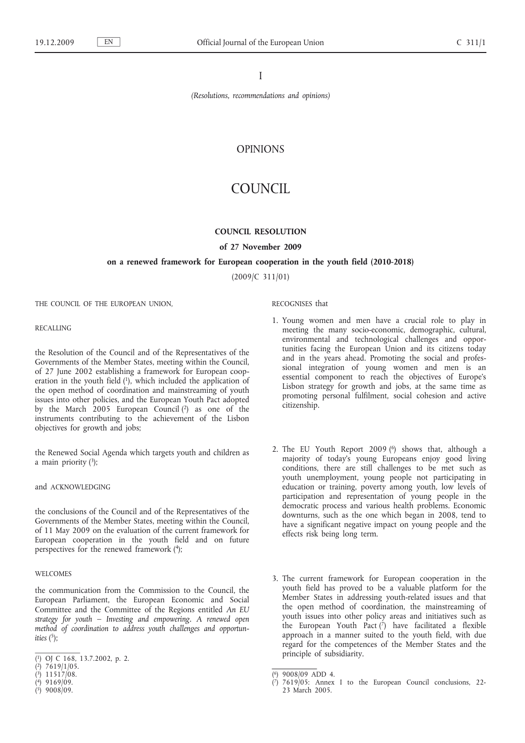I

*(Resolutions, recommendations and opinions)*

# OPINIONS

# COUNCIL

# **COUNCIL RESOLUTION**

# **of 27 November 2009**

### **on a renewed framework for European cooperation in the youth field (2010-2018)**

(2009/C 311/01)

RECOGNISES that

citizenship.

THE COUNCIL OF THE EUROPEAN UNION,

### **RECALLING**

the Resolution of the Council and of the Representatives of the Governments of the Member States, meeting within the Council, of 27 June 2002 establishing a framework for European cooperation in the youth field (1), which included the application of the open method of coordination and mainstreaming of youth issues into other policies, and the European Youth Pact adopted by the March 2005 European Council (2) as one of the instruments contributing to the achievement of the Lisbon objectives for growth and jobs;

the Renewed Social Agenda which targets youth and children as a main priority  $(3)$ ;

and ACKNOWLEDGING

the conclusions of the Council and of the Representatives of the Governments of the Member States, meeting within the Council, of 11 May 2009 on the evaluation of the current framework for European cooperation in the youth field and on future perspectives for the renewed framework (4);

### WELCOMES

the communication from the Commission to the Council, the European Parliament, the European Economic and Social Committee and the Committee of the Regions entitled *An EU strategy for youth – Investing and empowering. A renewed open method of coordination to address youth challenges and opportunities*  $(5)$ ;

( 5) 9008/09.

- 1. Young women and men have a crucial role to play in meeting the many socio-economic, demographic, cultural, environmental and technological challenges and opportunities facing the European Union and its citizens today and in the years ahead. Promoting the social and professional integration of young women and men is an essential component to reach the objectives of Europe's Lisbon strategy for growth and jobs, at the same time as promoting personal fulfilment, social cohesion and active
- 2. The EU Youth Report 2009 (<sup>6</sup>) shows that, although a majority of today's young Europeans enjoy good living conditions, there are still challenges to be met such as youth unemployment, young people not participating in education or training, poverty among youth, low levels of participation and representation of young people in the democratic process and various health problems. Economic downturns, such as the one which began in 2008, tend to have a significant negative impact on young people and the effects risk being long term.
- 3. The current framework for European cooperation in the youth field has proved to be a valuable platform for the Member States in addressing youth-related issues and that the open method of coordination, the mainstreaming of youth issues into other policy areas and initiatives such as the European Youth Pact  $(7)$  have facilitated a flexible approach in a manner suited to the youth field, with due regard for the competences of the Member States and the principle of subsidiarity.

<sup>(</sup> 1) OJ C 168, 13.7.2002, p. 2.

<sup>(</sup> 2) 7619/1/05.

<sup>(</sup> 3) 11517/08.

<sup>(</sup> 4) 9169/09.

<sup>(</sup> 6) 9008/09 ADD 4.

<sup>(</sup> 7) 7619/05: Annex I to the European Council conclusions, 22- 23 March 2005.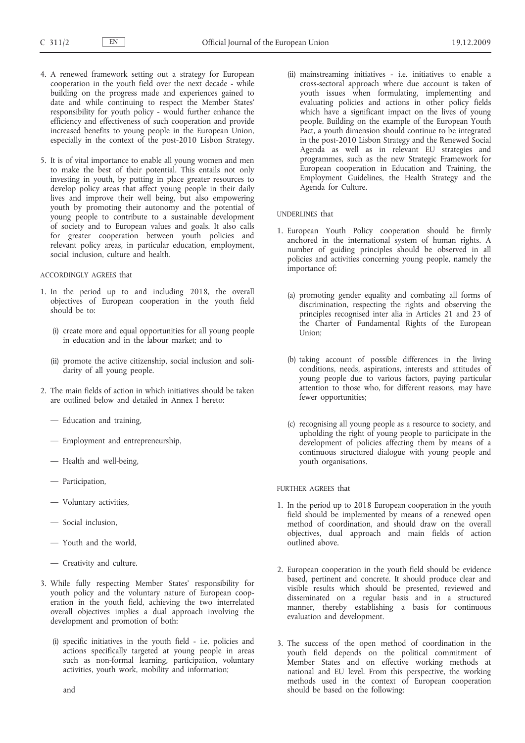- 4. A renewed framework setting out a strategy for European cooperation in the youth field over the next decade - while building on the progress made and experiences gained to date and while continuing to respect the Member States' responsibility for youth policy - would further enhance the efficiency and effectiveness of such cooperation and provide increased benefits to young people in the European Union, especially in the context of the post-2010 Lisbon Strategy.
- 5. It is of vital importance to enable all young women and men to make the best of their potential. This entails not only investing in youth, by putting in place greater resources to develop policy areas that affect young people in their daily lives and improve their well being, but also empowering youth by promoting their autonomy and the potential of young people to contribute to a sustainable development of society and to European values and goals. It also calls for greater cooperation between youth policies and relevant policy areas, in particular education, employment, social inclusion, culture and health.

# ACCORDINGLY AGREES that

- 1. In the period up to and including 2018, the overall objectives of European cooperation in the youth field should be to:
	- (i) create more and equal opportunities for all young people in education and in the labour market; and to
	- (ii) promote the active citizenship, social inclusion and solidarity of all young people.
- 2. The main fields of action in which initiatives should be taken are outlined below and detailed in Annex I hereto:
	- Education and training,
	- Employment and entrepreneurship,
	- Health and well-being,
	- Participation,
	- Voluntary activities,
	- Social inclusion,
	- Youth and the world,
	- Creativity and culture.
- 3. While fully respecting Member States' responsibility for youth policy and the voluntary nature of European cooperation in the youth field, achieving the two interrelated overall objectives implies a dual approach involving the development and promotion of both:
	- (i) specific initiatives in the youth field i.e. policies and actions specifically targeted at young people in areas such as non-formal learning, participation, voluntary activities, youth work, mobility and information;

(ii) mainstreaming initiatives - i.e. initiatives to enable a cross-sectoral approach where due account is taken of youth issues when formulating, implementing and evaluating policies and actions in other policy fields which have a significant impact on the lives of young people. Building on the example of the European Youth Pact, a youth dimension should continue to be integrated in the post-2010 Lisbon Strategy and the Renewed Social Agenda as well as in relevant EU strategies and programmes, such as the new Strategic Framework for European cooperation in Education and Training, the Employment Guidelines, the Health Strategy and the Agenda for Culture.

# UNDERLINES that

- 1. European Youth Policy cooperation should be firmly anchored in the international system of human rights. A number of guiding principles should be observed in all policies and activities concerning young people, namely the importance of:
	- (a) promoting gender equality and combating all forms of discrimination, respecting the rights and observing the principles recognised inter alia in Articles 21 and 23 of the Charter of Fundamental Rights of the European Union;
	- (b) taking account of possible differences in the living conditions, needs, aspirations, interests and attitudes of young people due to various factors, paying particular attention to those who, for different reasons, may have fewer opportunities;
	- (c) recognising all young people as a resource to society, and upholding the right of young people to participate in the development of policies affecting them by means of a continuous structured dialogue with young people and youth organisations.

# FURTHER AGREES that

- 1. In the period up to 2018 European cooperation in the youth field should be implemented by means of a renewed open method of coordination, and should draw on the overall objectives, dual approach and main fields of action outlined above.
- 2. European cooperation in the youth field should be evidence based, pertinent and concrete. It should produce clear and visible results which should be presented, reviewed and disseminated on a regular basis and in a structured manner, thereby establishing a basis for continuous evaluation and development.
- 3. The success of the open method of coordination in the youth field depends on the political commitment of Member States and on effective working methods at national and EU level. From this perspective, the working methods used in the context of European cooperation should be based on the following: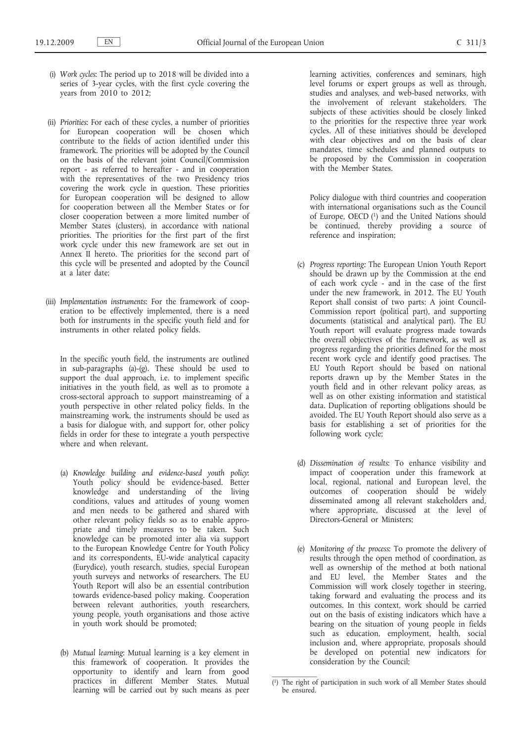- (i) *Work cycles*: The period up to 2018 will be divided into a series of 3-year cycles, with the first cycle covering the years from 2010 to 2012;
- (ii) *Priorities*: For each of these cycles, a number of priorities for European cooperation will be chosen which contribute to the fields of action identified under this framework. The priorities will be adopted by the Council on the basis of the relevant joint Council/Commission report - as referred to hereafter - and in cooperation with the representatives of the two Presidency trios covering the work cycle in question. These priorities for European cooperation will be designed to allow for cooperation between all the Member States or for closer cooperation between a more limited number of Member States (clusters), in accordance with national priorities. The priorities for the first part of the first work cycle under this new framework are set out in Annex II hereto. The priorities for the second part of this cycle will be presented and adopted by the Council at a later date;
- (iii) *Implementation instruments*: For the framework of cooperation to be effectively implemented, there is a need both for instruments in the specific youth field and for instruments in other related policy fields.

In the specific youth field, the instruments are outlined in sub-paragraphs (a)-(g). These should be used to support the dual approach, i.e. to implement specific initiatives in the youth field, as well as to promote a cross-sectoral approach to support mainstreaming of a youth perspective in other related policy fields. In the mainstreaming work, the instruments should be used as a basis for dialogue with, and support for, other policy fields in order for these to integrate a youth perspective where and when relevant.

- (a) *Knowledge building and evidence-based youth policy*: Youth policy should be evidence-based. Better knowledge and understanding of the living conditions, values and attitudes of young women and men needs to be gathered and shared with other relevant policy fields so as to enable appropriate and timely measures to be taken. Such knowledge can be promoted inter alia via support to the European Knowledge Centre for Youth Policy and its correspondents, EU-wide analytical capacity (Eurydice), youth research, studies, special European youth surveys and networks of researchers. The EU Youth Report will also be an essential contribution towards evidence-based policy making. Cooperation between relevant authorities, youth researchers, young people, youth organisations and those active in youth work should be promoted;
- (b) *Mutual learning*: Mutual learning is a key element in this framework of cooperation. It provides the opportunity to identify and learn from good practices in different Member States. Mutual learning will be carried out by such means as peer

learning activities, conferences and seminars, high level forums or expert groups as well as through, studies and analyses, and web-based networks, with the involvement of relevant stakeholders. The subjects of these activities should be closely linked to the priorities for the respective three year work cycles. All of these initiatives should be developed with clear objectives and on the basis of clear mandates, time schedules and planned outputs to be proposed by the Commission in cooperation with the Member States.

Policy dialogue with third countries and cooperation with international organisations such as the Council of Europe, OECD<sup>(1)</sup> and the United Nations should be continued, thereby providing a source of reference and inspiration;

- (c) *Progress reporting:* The European Union Youth Report should be drawn up by the Commission at the end of each work cycle - and in the case of the first under the new framework, in 2012. The EU Youth Report shall consist of two parts: A joint Council-Commission report (political part), and supporting documents (statistical and analytical part). The EU Youth report will evaluate progress made towards the overall objectives of the framework, as well as progress regarding the priorities defined for the most recent work cycle and identify good practises. The EU Youth Report should be based on national reports drawn up by the Member States in the youth field and in other relevant policy areas, as well as on other existing information and statistical data. Duplication of reporting obligations should be avoided. The EU Youth Report should also serve as a basis for establishing a set of priorities for the following work cycle;
- (d) *Dissemination of results*: To enhance visibility and impact of cooperation under this framework at local, regional, national and European level, the outcomes of cooperation should be widely disseminated among all relevant stakeholders and, where appropriate, discussed at the level of Directors-General or Ministers:
- (e) *Monitoring of the process*: To promote the delivery of results through the open method of coordination, as well as ownership of the method at both national and EU level, the Member States and the Commission will work closely together in steering, taking forward and evaluating the process and its outcomes. In this context, work should be carried out on the basis of existing indicators which have a bearing on the situation of young people in fields such as education, employment, health, social inclusion and, where appropriate, proposals should be developed on potential new indicators for consideration by the Council;

<sup>(</sup> 1) The right of participation in such work of all Member States should be ensured.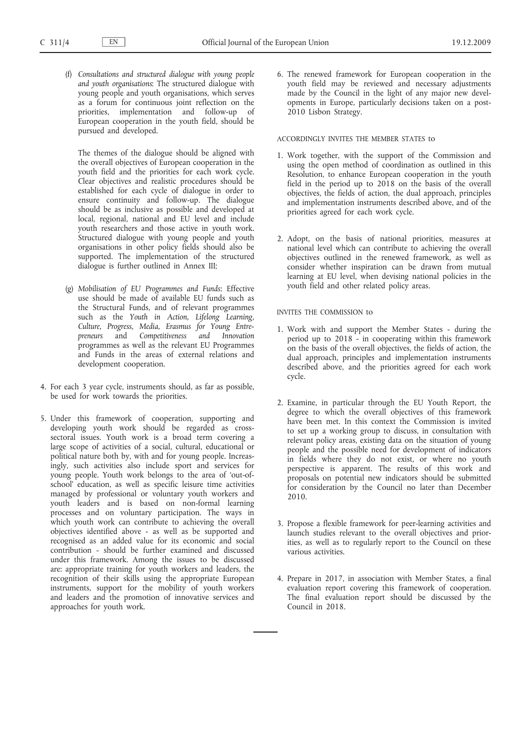(f) *Consultations and structured dialogue with young people and youth organisations*: The structured dialogue with young people and youth organisations, which serves as a forum for continuous joint reflection on the priorities, implementation and follow-up of European cooperation in the youth field, should be pursued and developed.

The themes of the dialogue should be aligned with the overall objectives of European cooperation in the youth field and the priorities for each work cycle. Clear objectives and realistic procedures should be established for each cycle of dialogue in order to ensure continuity and follow-up. The dialogue should be as inclusive as possible and developed at local, regional, national and EU level and include youth researchers and those active in youth work. Structured dialogue with young people and youth organisations in other policy fields should also be supported. The implementation of the structured dialogue is further outlined in Annex III;

- (g) *Mobilisation of EU Programmes and Funds*: Effective use should be made of available EU funds such as the Structural Funds, and of relevant programmes such as the *Youth in Action, Lifelong Learning, Culture, Progress, Media, Erasmus for Young Entrepreneurs* and *Competitiveness and Innovation* programmes as well as the relevant EU Programmes and Funds in the areas of external relations and development cooperation.
- 4. For each 3 year cycle, instruments should, as far as possible, be used for work towards the priorities.
- 5. Under this framework of cooperation, supporting and developing youth work should be regarded as crosssectoral issues. Youth work is a broad term covering a large scope of activities of a social, cultural, educational or political nature both by, with and for young people. Increasingly, such activities also include sport and services for young people. Youth work belongs to the area of 'out-ofschool' education, as well as specific leisure time activities managed by professional or voluntary youth workers and youth leaders and is based on non-formal learning processes and on voluntary participation. The ways in which youth work can contribute to achieving the overall objectives identified above - as well as be supported and recognised as an added value for its economic and social contribution - should be further examined and discussed under this framework. Among the issues to be discussed are: appropriate training for youth workers and leaders, the recognition of their skills using the appropriate European instruments, support for the mobility of youth workers and leaders and the promotion of innovative services and approaches for youth work.

6. The renewed framework for European cooperation in the youth field may be reviewed and necessary adjustments made by the Council in the light of any major new developments in Europe, particularly decisions taken on a post-2010 Lisbon Strategy.

### ACCORDINGLY INVITES THE MEMBER STATES to

- 1. Work together, with the support of the Commission and using the open method of coordination as outlined in this Resolution, to enhance European cooperation in the youth field in the period up to 2018 on the basis of the overall objectives, the fields of action, the dual approach, principles and implementation instruments described above, and of the priorities agreed for each work cycle.
- 2. Adopt, on the basis of national priorities, measures at national level which can contribute to achieving the overall objectives outlined in the renewed framework, as well as consider whether inspiration can be drawn from mutual learning at EU level, when devising national policies in the youth field and other related policy areas.

# INVITES THE COMMISSION to

- 1. Work with and support the Member States during the period up to 2018 - in cooperating within this framework on the basis of the overall objectives, the fields of action, the dual approach, principles and implementation instruments described above, and the priorities agreed for each work cycle.
- 2. Examine, in particular through the EU Youth Report, the degree to which the overall objectives of this framework have been met. In this context the Commission is invited to set up a working group to discuss, in consultation with relevant policy areas, existing data on the situation of young people and the possible need for development of indicators in fields where they do not exist, or where no youth perspective is apparent. The results of this work and proposals on potential new indicators should be submitted for consideration by the Council no later than December 2010.
- 3. Propose a flexible framework for peer-learning activities and launch studies relevant to the overall objectives and priorities, as well as to regularly report to the Council on these various activities.
- 4. Prepare in 2017, in association with Member States, a final evaluation report covering this framework of cooperation. The final evaluation report should be discussed by the Council in 2018.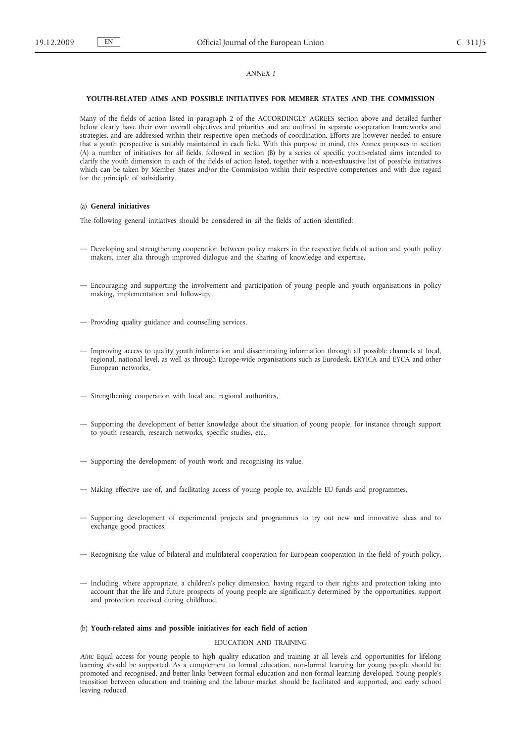### *ANNEX I*

#### **YOUTH-RELATED AIMS AND POSSIBLE INITIATIVES FOR MEMBER STATES AND THE COMMISSION**

Many of the fields of action listed in paragraph 2 of the ACCORDINGLY AGREES section above and detailed further below clearly have their own overall objectives and priorities and are outlined in separate cooperation frameworks and strategies, and are addressed within their respective open methods of coordination. Efforts are however needed to ensure that a youth perspective is suitably maintained in each field. With this purpose in mind, this Annex proposes in section (A) a number of initiatives for *all* fields, followed in section (B) by a series of specific youth-related aims intended to clarify the youth dimension in each of the fields of action listed, together with a non-exhaustive list of possible initiatives which can be taken by Member States and/or the Commission within their respective competences and with due regard for the principle of subsidiarity.

# (a) **General initiatives**

The following general initiatives should be considered in *all* the fields of action identified:

- Developing and strengthening cooperation between policy makers in the respective fields of action and youth policy makers, inter alia through improved dialogue and the sharing of knowledge and expertise,
- Encouraging and supporting the involvement and participation of young people and youth organisations in policy making, implementation and follow-up,
- Providing quality guidance and counselling services,
- Improving access to quality youth information and disseminating information through all possible channels at local, regional, national level, as well as through Europe-wide organisations such as Eurodesk, ERYICA and EYCA and other European networks,
- Strengthening cooperation with local and regional authorities,
- Supporting the development of better knowledge about the situation of young people, for instance through support to youth research, research networks, specific studies, etc.,
- Supporting the development of youth work and recognising its value,
- Making effective use of, and facilitating access of young people to, available EU funds and programmes,
- Supporting development of experimental projects and programmes to try out new and innovative ideas and to exchange good practices,
- Recognising the value of bilateral and multilateral cooperation for European cooperation in the field of youth policy,
- Including, where appropriate, a children's policy dimension, having regard to their rights and protection taking into account that the life and future prospects of young people are significantly determined by the opportunities, support and protection received during childhood.

### (b) **Youth-related aims and possible initiatives for each field of action**

# EDUCATION AND TRAINING

*Aim:* Equal access for young people to high quality education and training at all levels and opportunities for lifelong learning should be supported. As a complement to formal education, non-formal learning for young people should be promoted and recognised, and better links between formal education and non-formal learning developed. Young people's transition between education and training and the labour market should be facilitated and supported, and early school leaving reduced.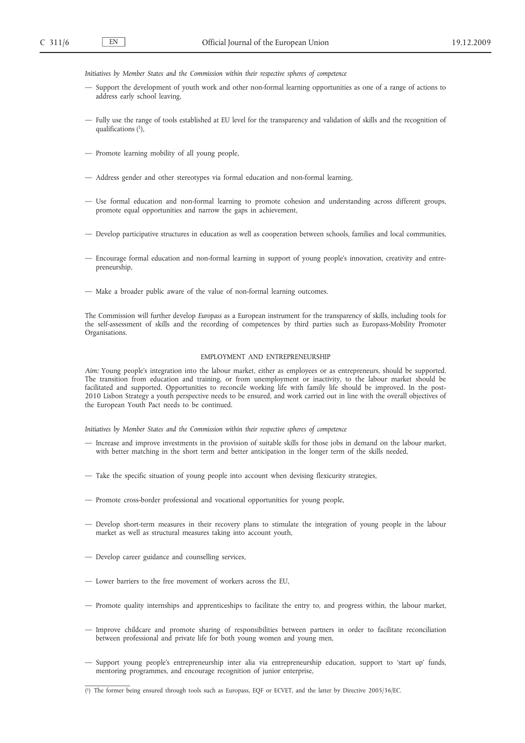*Initiatives by Member States and the Commission within their respective spheres of competence*

- Support the development of youth work and other non-formal learning opportunities as one of a range of actions to address early school leaving,
- Fully use the range of tools established at EU level for the transparency and validation of skills and the recognition of qualifications  $(1)$ ,
- Promote learning mobility of all young people,
- Address gender and other stereotypes via formal education and non-formal learning,
- Use formal education and non-formal learning to promote cohesion and understanding across different groups, promote equal opportunities and narrow the gaps in achievement,
- Develop participative structures in education as well as cooperation between schools, families and local communities,
- Encourage formal education and non-formal learning in support of young people's innovation, creativity and entrepreneurship,
- Make a broader public aware of the value of non-formal learning outcomes.

The Commission will further develop *Europass* as a European instrument for the transparency of skills, including tools for the self-assessment of skills and the recording of competences by third parties such as Europass-Mobility Promoter Organisations.

#### EMPLOYMENT AND ENTREPRENEURSHIP

*Aim:* Young people's integration into the labour market, either as employees or as entrepreneurs, should be supported. The transition from education and training, or from unemployment or inactivity, to the labour market should be facilitated and supported. Opportunities to reconcile working life with family life should be improved. In the post-2010 Lisbon Strategy a youth perspective needs to be ensured, and work carried out in line with the overall objectives of the European Youth Pact needs to be continued.

*Initiatives by Member States and the Commission within their respective spheres of competence*

- Increase and improve investments in the provision of suitable skills for those jobs in demand on the labour market, with better matching in the short term and better anticipation in the longer term of the skills needed,
- Take the specific situation of young people into account when devising flexicurity strategies,
- Promote cross-border professional and vocational opportunities for young people,
- Develop short-term measures in their recovery plans to stimulate the integration of young people in the labour market as well as structural measures taking into account youth,
- Develop career guidance and counselling services,
- Lower barriers to the free movement of workers across the EU,
- Promote quality internships and apprenticeships to facilitate the entry to, and progress within, the labour market,
- Improve childcare and promote sharing of responsibilities between partners in order to facilitate reconciliation between professional and private life for both young women and young men,
- Support young people's entrepreneurship inter alia via entrepreneurship education, support to 'start up' funds, mentoring programmes, and encourage recognition of junior enterprise,

<sup>(</sup> 1) The former being ensured through tools such as Europass, EQF or ECVET, and the latter by Directive 2005/36/EC.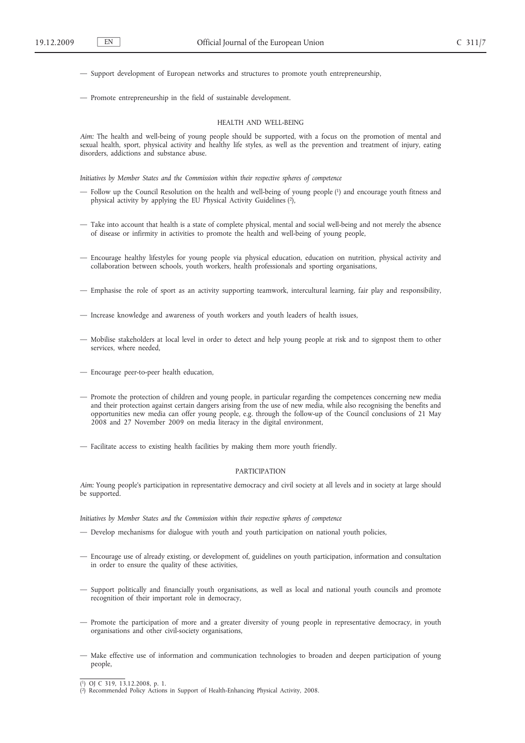— Support development of European networks and structures to promote youth entrepreneurship,

— Promote entrepreneurship in the field of sustainable development.

#### HEALTH AND WELL-BEING

*Aim:* The health and well-being of young people should be supported, with a focus on the promotion of mental and sexual health, sport, physical activity and healthy life styles, as well as the prevention and treatment of injury, eating disorders, addictions and substance abuse.

*Initiatives by Member States and the Commission within their respective spheres of competence*

- Follow up the Council Resolution on the health and well-being of young people (1) and encourage youth fitness and physical activity by applying the EU Physical Activity Guidelines (2),
- Take into account that health is a state of complete physical, mental and social well-being and not merely the absence of disease or infirmity in activities to promote the health and well-being of young people,
- Encourage healthy lifestyles for young people via physical education, education on nutrition, physical activity and collaboration between schools, youth workers, health professionals and sporting organisations,
- Emphasise the role of sport as an activity supporting teamwork, intercultural learning, fair play and responsibility,
- Increase knowledge and awareness of youth workers and youth leaders of health issues,
- Mobilise stakeholders at local level in order to detect and help young people at risk and to signpost them to other services, where needed,
- Encourage peer-to-peer health education,
- Promote the protection of children and young people, in particular regarding the competences concerning new media and their protection against certain dangers arising from the use of new media, while also recognising the benefits and opportunities new media can offer young people, e.g. through the follow-up of the Council conclusions of 21 May 2008 and 27 November 2009 on media literacy in the digital environment,
- Facilitate access to existing health facilities by making them more youth friendly.

### PARTICIPATION

*Aim:* Young people's participation in representative democracy and civil society at all levels and in society at large should be supported.

*Initiatives by Member States and the Commission within their respective spheres of competence*

- Develop mechanisms for dialogue with youth and youth participation on national youth policies,
- Encourage use of already existing, or development of, guidelines on youth participation, information and consultation in order to ensure the quality of these activities,
- Support politically and financially youth organisations, as well as local and national youth councils and promote recognition of their important role in democracy,
- Promote the participation of more and a greater diversity of young people in representative democracy, in youth organisations and other civil-society organisations,
- Make effective use of information and communication technologies to broaden and deepen participation of young people,

<sup>(</sup> 1) OJ C 319, 13.12.2008, p. 1.

<sup>(</sup> 2) Recommended Policy Actions in Support of Health-Enhancing Physical Activity, 2008.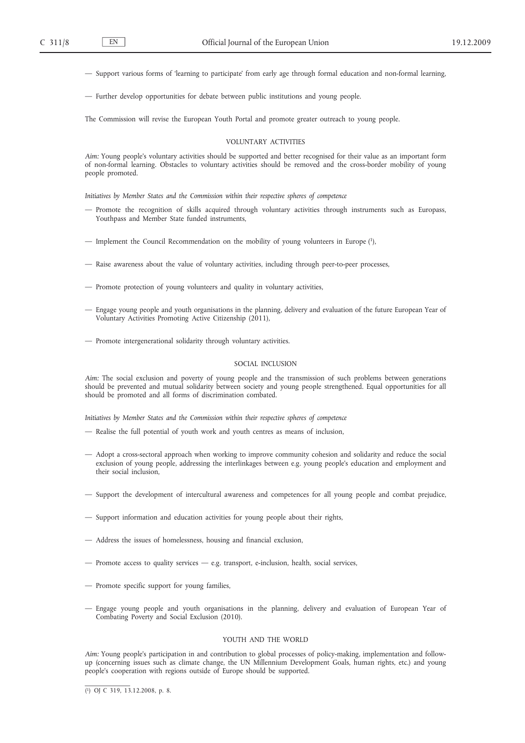— Support various forms of 'learning to participate' from early age through formal education and non-formal learning,

— Further develop opportunities for debate between public institutions and young people.

The Commission will revise the European Youth Portal and promote greater outreach to young people.

#### VOLUNTARY ACTIVITIES

*Aim:* Young people's voluntary activities should be supported and better recognised for their value as an important form of non-formal learning. Obstacles to voluntary activities should be removed and the cross-border mobility of young people promoted.

*Initiatives by Member States and the Commission within their respective spheres of competence*

- Promote the recognition of skills acquired through voluntary activities through instruments such as Europass, Youthpass and Member State funded instruments,
- Implement the Council Recommendation on the mobility of young volunteers in Europe (1),
- Raise awareness about the value of voluntary activities, including through peer-to-peer processes,
- Promote protection of young volunteers and quality in voluntary activities,
- Engage young people and youth organisations in the planning, delivery and evaluation of the future European Year of Voluntary Activities Promoting Active Citizenship (2011),
- Promote intergenerational solidarity through voluntary activities.

### SOCIAL INCLUSION

*Aim:* The social exclusion and poverty of young people and the transmission of such problems between generations should be prevented and mutual solidarity between society and young people strengthened. Equal opportunities for all should be promoted and all forms of discrimination combated.

*Initiatives by Member States and the Commission within their respective spheres of competence*

- Realise the full potential of youth work and youth centres as means of inclusion,
- Adopt a cross-sectoral approach when working to improve community cohesion and solidarity and reduce the social exclusion of young people, addressing the interlinkages between e.g. young people's education and employment and their social inclusion,
- Support the development of intercultural awareness and competences for all young people and combat prejudice,
- Support information and education activities for young people about their rights,
- Address the issues of homelessness, housing and financial exclusion,
- Promote access to quality services e.g. transport, e-inclusion, health, social services,
- Promote specific support for young families,
- Engage young people and youth organisations in the planning, delivery and evaluation of European Year of Combating Poverty and Social Exclusion (2010).

#### YOUTH AND THE WORLD

*Aim:* Young people's participation in and contribution to global processes of policy-making, implementation and followup (concerning issues such as climate change, the UN Millennium Development Goals, human rights, etc.) and young people's cooperation with regions outside of Europe should be supported.

( 1) OJ C 319, 13.12.2008, p. 8.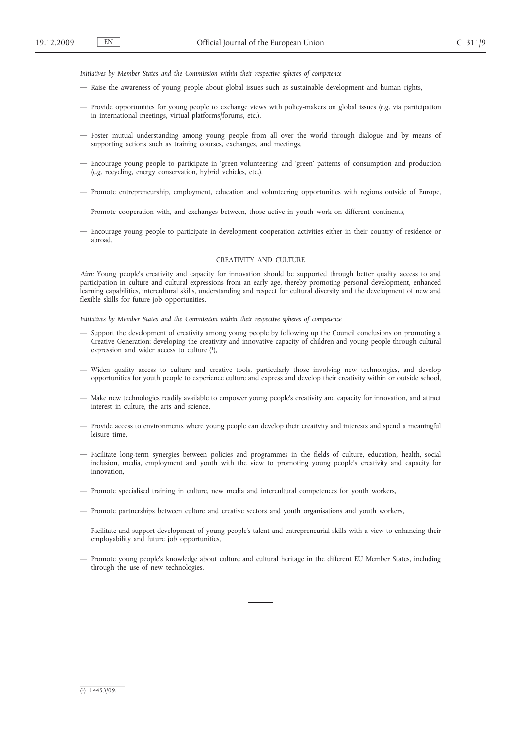*Initiatives by Member States and the Commission within their respective spheres of competence*

- Raise the awareness of young people about global issues such as sustainable development and human rights,
- Provide opportunities for young people to exchange views with policy-makers on global issues (e.g. via participation in international meetings, virtual platforms/forums, etc.),
- Foster mutual understanding among young people from all over the world through dialogue and by means of supporting actions such as training courses, exchanges, and meetings,
- Encourage young people to participate in 'green volunteering' and 'green' patterns of consumption and production (e.g. recycling, energy conservation, hybrid vehicles, etc.),
- Promote entrepreneurship, employment, education and volunteering opportunities with regions outside of Europe,
- Promote cooperation with, and exchanges between, those active in youth work on different continents,
- Encourage young people to participate in development cooperation activities either in their country of residence or abroad.

### CREATIVITY AND CULTURE

*Aim:* Young people's creativity and capacity for innovation should be supported through better quality access to and participation in culture and cultural expressions from an early age, thereby promoting personal development, enhanced learning capabilities, intercultural skills, understanding and respect for cultural diversity and the development of new and flexible skills for future job opportunities.

*Initiatives by Member States and the Commission within their respective spheres of competence*

- Support the development of creativity among young people by following up the Council conclusions on promoting a Creative Generation: developing the creativity and innovative capacity of children and young people through cultural expression and wider access to culture  $(1)$ ,
- Widen quality access to culture and creative tools, particularly those involving new technologies, and develop opportunities for youth people to experience culture and express and develop their creativity within or outside school,
- Make new technologies readily available to empower young people's creativity and capacity for innovation, and attract interest in culture, the arts and science,
- Provide access to environments where young people can develop their creativity and interests and spend a meaningful leisure time,
- Facilitate long-term synergies between policies and programmes in the fields of culture, education, health, social inclusion, media, employment and youth with the view to promoting young people's creativity and capacity for innovation,
- Promote specialised training in culture, new media and intercultural competences for youth workers,
- Promote partnerships between culture and creative sectors and youth organisations and youth workers,
- Facilitate and support development of young people's talent and entrepreneurial skills with a view to enhancing their employability and future job opportunities,
- Promote young people's knowledge about culture and cultural heritage in the different EU Member States, including through the use of new technologies.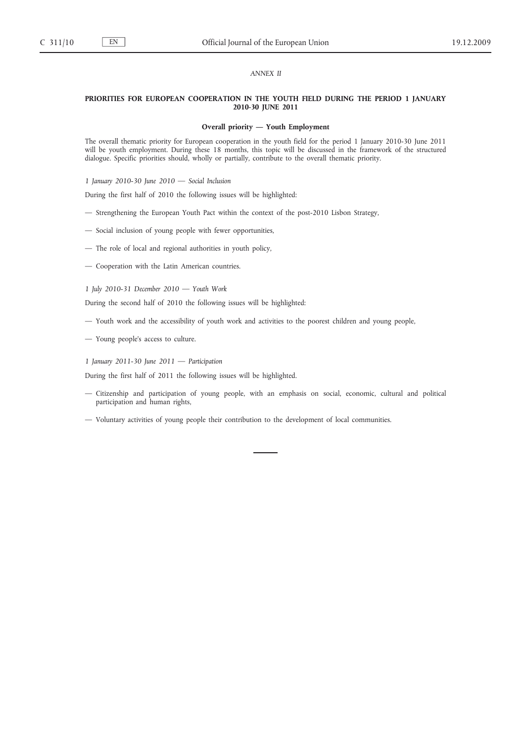# *ANNEX II*

### **PRIORITIES FOR EUROPEAN COOPERATION IN THE YOUTH FIELD DURING THE PERIOD 1 JANUARY 2010-30 JUNE 2011**

### **Overall priority — Youth Employment**

The overall thematic priority for European cooperation in the youth field for the period 1 January 2010-30 June 2011 will be youth employment. During these 18 months, this topic will be discussed in the framework of the structured dialogue. Specific priorities should, wholly or partially, contribute to the overall thematic priority.

*1 January 2010-30 June 2010 — Social Inclusion*

During the first half of 2010 the following issues will be highlighted:

- Strengthening the European Youth Pact within the context of the post-2010 Lisbon Strategy,
- Social inclusion of young people with fewer opportunities,
- The role of local and regional authorities in youth policy,
- Cooperation with the Latin American countries.

### *1 July 2010-31 December 2010 — Youth Work*

During the second half of 2010 the following issues will be highlighted:

- Youth work and the accessibility of youth work and activities to the poorest children and young people,
- Young people's access to culture.
- *1 January 2011-30 June 2011 Participation*

During the first half of 2011 the following issues will be highlighted.

- Citizenship and participation of young people, with an emphasis on social, economic, cultural and political participation and human rights,
- Voluntary activities of young people their contribution to the development of local communities.